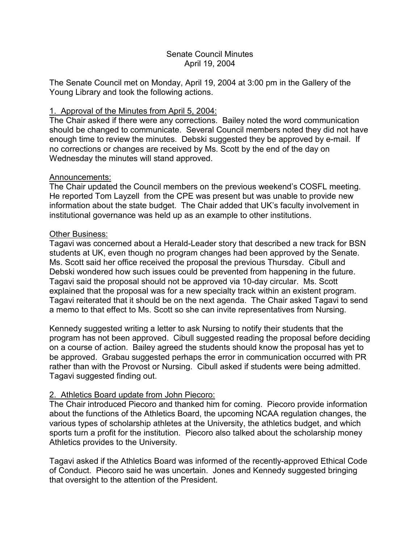### Senate Council Minutes April 19, 2004

The Senate Council met on Monday, April 19, 2004 at 3:00 pm in the Gallery of the Young Library and took the following actions.

# 1. Approval of the Minutes from April 5, 2004:

The Chair asked if there were any corrections. Bailey noted the word communication should be changed to communicate. Several Council members noted they did not have enough time to review the minutes. Debski suggested they be approved by e-mail. If no corrections or changes are received by Ms. Scott by the end of the day on Wednesday the minutes will stand approved.

## Announcements:

The Chair updated the Council members on the previous weekend's COSFL meeting. He reported Tom Layzell from the CPE was present but was unable to provide new information about the state budget. The Chair added that UK's faculty involvement in institutional governance was held up as an example to other institutions.

## Other Business:

Tagavi was concerned about a Herald-Leader story that described a new track for BSN students at UK, even though no program changes had been approved by the Senate. Ms. Scott said her office received the proposal the previous Thursday. Cibull and Debski wondered how such issues could be prevented from happening in the future. Tagavi said the proposal should not be approved via 10-day circular. Ms. Scott explained that the proposal was for a new specialty track within an existent program. Tagavi reiterated that it should be on the next agenda. The Chair asked Tagavi to send a memo to that effect to Ms. Scott so she can invite representatives from Nursing.

Kennedy suggested writing a letter to ask Nursing to notify their students that the program has not been approved. Cibull suggested reading the proposal before deciding on a course of action. Bailey agreed the students should know the proposal has yet to be approved. Grabau suggested perhaps the error in communication occurred with PR rather than with the Provost or Nursing. Cibull asked if students were being admitted. Tagavi suggested finding out.

# 2. Athletics Board update from John Piecoro:

The Chair introduced Piecoro and thanked him for coming. Piecoro provide information about the functions of the Athletics Board, the upcoming NCAA regulation changes, the various types of scholarship athletes at the University, the athletics budget, and which sports turn a profit for the institution. Piecoro also talked about the scholarship money Athletics provides to the University.

Tagavi asked if the Athletics Board was informed of the recently-approved Ethical Code of Conduct. Piecoro said he was uncertain. Jones and Kennedy suggested bringing that oversight to the attention of the President.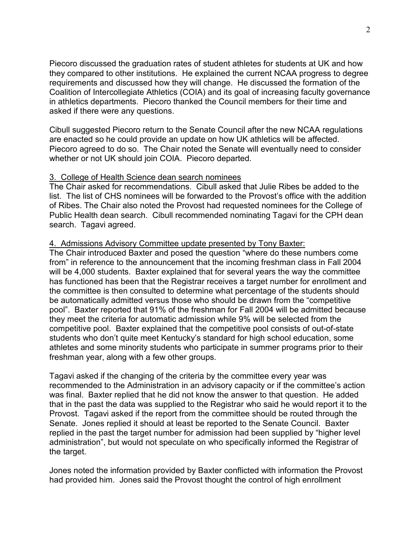Piecoro discussed the graduation rates of student athletes for students at UK and how they compared to other institutions. He explained the current NCAA progress to degree requirements and discussed how they will change. He discussed the formation of the Coalition of Intercollegiate Athletics (COIA) and its goal of increasing faculty governance in athletics departments. Piecoro thanked the Council members for their time and asked if there were any questions.

Cibull suggested Piecoro return to the Senate Council after the new NCAA regulations are enacted so he could provide an update on how UK athletics will be affected. Piecoro agreed to do so. The Chair noted the Senate will eventually need to consider whether or not UK should join COIA. Piecoro departed.

### 3. College of Health Science dean search nominees

The Chair asked for recommendations. Cibull asked that Julie Ribes be added to the list. The list of CHS nominees will be forwarded to the Provost's office with the addition of Ribes. The Chair also noted the Provost had requested nominees for the College of Public Health dean search. Cibull recommended nominating Tagavi for the CPH dean search. Tagavi agreed.

#### 4. Admissions Advisory Committee update presented by Tony Baxter:

The Chair introduced Baxter and posed the question "where do these numbers come from" in reference to the announcement that the incoming freshman class in Fall 2004 will be 4,000 students. Baxter explained that for several years the way the committee has functioned has been that the Registrar receives a target number for enrollment and the committee is then consulted to determine what percentage of the students should be automatically admitted versus those who should be drawn from the "competitive pool". Baxter reported that 91% of the freshman for Fall 2004 will be admitted because they meet the criteria for automatic admission while 9% will be selected from the competitive pool. Baxter explained that the competitive pool consists of out-of-state students who don't quite meet Kentucky's standard for high school education, some athletes and some minority students who participate in summer programs prior to their freshman year, along with a few other groups.

Tagavi asked if the changing of the criteria by the committee every year was recommended to the Administration in an advisory capacity or if the committee's action was final. Baxter replied that he did not know the answer to that question. He added that in the past the data was supplied to the Registrar who said he would report it to the Provost. Tagavi asked if the report from the committee should be routed through the Senate. Jones replied it should at least be reported to the Senate Council. Baxter replied in the past the target number for admission had been supplied by "higher level administration", but would not speculate on who specifically informed the Registrar of the target.

Jones noted the information provided by Baxter conflicted with information the Provost had provided him. Jones said the Provost thought the control of high enrollment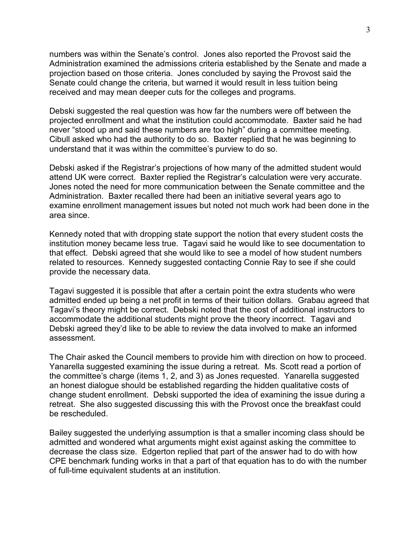numbers was within the Senate's control. Jones also reported the Provost said the Administration examined the admissions criteria established by the Senate and made a projection based on those criteria. Jones concluded by saying the Provost said the Senate could change the criteria, but warned it would result in less tuition being received and may mean deeper cuts for the colleges and programs.

Debski suggested the real question was how far the numbers were off between the projected enrollment and what the institution could accommodate. Baxter said he had never "stood up and said these numbers are too high" during a committee meeting. Cibull asked who had the authority to do so. Baxter replied that he was beginning to understand that it was within the committee's purview to do so.

Debski asked if the Registrar's projections of how many of the admitted student would attend UK were correct. Baxter replied the Registrar's calculation were very accurate. Jones noted the need for more communication between the Senate committee and the Administration. Baxter recalled there had been an initiative several years ago to examine enrollment management issues but noted not much work had been done in the area since.

Kennedy noted that with dropping state support the notion that every student costs the institution money became less true. Tagavi said he would like to see documentation to that effect. Debski agreed that she would like to see a model of how student numbers related to resources. Kennedy suggested contacting Connie Ray to see if she could provide the necessary data.

Tagavi suggested it is possible that after a certain point the extra students who were admitted ended up being a net profit in terms of their tuition dollars. Grabau agreed that Tagavi's theory might be correct. Debski noted that the cost of additional instructors to accommodate the additional students might prove the theory incorrect. Tagavi and Debski agreed they'd like to be able to review the data involved to make an informed assessment.

The Chair asked the Council members to provide him with direction on how to proceed. Yanarella suggested examining the issue during a retreat. Ms. Scott read a portion of the committee's charge (items 1, 2, and 3) as Jones requested. Yanarella suggested an honest dialogue should be established regarding the hidden qualitative costs of change student enrollment. Debski supported the idea of examining the issue during a retreat. She also suggested discussing this with the Provost once the breakfast could be rescheduled.

Bailey suggested the underlying assumption is that a smaller incoming class should be admitted and wondered what arguments might exist against asking the committee to decrease the class size. Edgerton replied that part of the answer had to do with how CPE benchmark funding works in that a part of that equation has to do with the number of full-time equivalent students at an institution.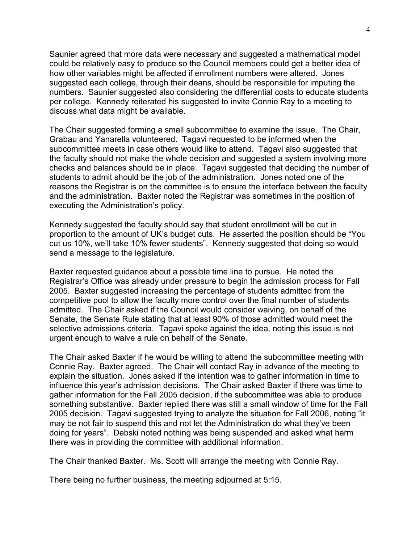Saunier agreed that more data were necessary and suggested a mathematical model could be relatively easy to produce so the Council members could get a better idea of how other variables might be affected if enrollment numbers were altered. Jones suggested each college, through their deans, should be responsible for imputing the numbers. Saunier suggested also considering the differential costs to educate students per college. Kennedy reiterated his suggested to invite Connie Ray to a meeting to discuss what data might be available.

The Chair suggested forming a small subcommittee to examine the issue. The Chair, Grabau and Yanarella volunteered. Tagavi requested to be informed when the subcommittee meets in case others would like to attend. Tagavi also suggested that the faculty should not make the whole decision and suggested a system involving more checks and balances should be in place. Tagavi suggested that deciding the number of students to admit should be the job of the administration. Jones noted one of the reasons the Registrar is on the committee is to ensure the interface between the faculty and the administration. Baxter noted the Registrar was sometimes in the position of executing the Administration's policy.

Kennedy suggested the faculty should say that student enrollment will be cut in proportion to the amount of UK's budget cuts. He asserted the position should be "You cut us 10%, we'll take 10% fewer students". Kennedy suggested that doing so would send a message to the legislature.

Baxter requested guidance about a possible time line to pursue. He noted the Registrar's Office was already under pressure to begin the admission process for Fall 2005. Baxter suggested increasing the percentage of students admitted from the competitive pool to allow the faculty more control over the final number of students admitted. The Chair asked if the Council would consider waiving, on behalf of the Senate, the Senate Rule stating that at least 90% of those admitted would meet the selective admissions criteria. Tagavi spoke against the idea, noting this issue is not urgent enough to waive a rule on behalf of the Senate.

The Chair asked Baxter if he would be willing to attend the subcommittee meeting with Connie Ray. Baxter agreed. The Chair will contact Ray in advance of the meeting to explain the situation. Jones asked if the intention was to gather information in time to influence this year's admission decisions. The Chair asked Baxter if there was time to gather information for the Fall 2005 decision, if the subcommittee was able to produce something substantive. Baxter replied there was still a small window of time for the Fall 2005 decision. Tagavi suggested trying to analyze the situation for Fall 2006, noting "it may be not fair to suspend this and not let the Administration do what they've been doing for years". Debski noted nothing was being suspended and asked what harm there was in providing the committee with additional information.

The Chair thanked Baxter. Ms. Scott will arrange the meeting with Connie Ray.

There being no further business, the meeting adjourned at 5:15.